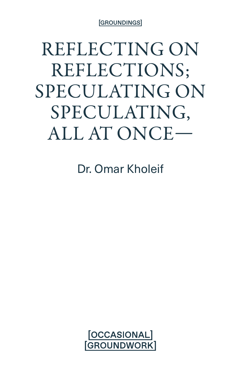[GROUNDINGS]

REFLECTING ON REFLECTIONS; SPECULATING ON SPECULATING, ALL AT ONCE—

Dr. Omar Kholeif

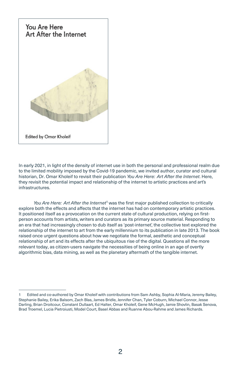

In early 2021, in light of the density of internet use in both the personal and professional realm due to the limited mobility imposed by the Covid-19 pandemic, we invited author, curator and cultural historian, Dr. Omar Kholeif to revisit their publication *You Are Here : Art After the Internet*. Here, they revisit the potential impact and relationship of the internet to artistic practices and art's infrastructures.

*You Are Here : Art After the Internet*<sup>1</sup> was the first major published collection to critically explore both the effects and affects that the internet has had on contemporary artistic practices. It positioned itself as a provocation on the current state of cultural production, relying on firstperson accounts from artists, writers and curators as its primary source material. Responding to an era that had increasingly chosen to dub itself as 'post-internet', the collective text explored the relationship of the internet to art from the early millennium to its publication in late 2013. The book raised once urgent questions about how we negotiate the formal, aesthetic and conceptual relationship of art and its effects after the ubiquitous rise of the digital. Questions all the more relevant today, as citizen-users navigate the necessities of being online in an age of overtly algorithmic bias, data mining, as well as the planetary aftermath of the tangible internet.

Edited and co-authored by Omar Kholeif with contributions from Sam Ashby, Sophia Al-Maria, Jeremy Bailey, Stephanie Bailey, Erika Balsom, Zach Blas, James Bridle, Jennifer Chan, Tyler Coburn, Michael Connor, Jesse Darling, Brian Droitcour, Constant Dullaart, Ed Halter, Omar Kholeif, Gene McHugh, Jamie Shovlin, Basak Senova, Brad Troemel, Lucia Pietroiusti, Model Court, Basel Abbas and Ruanne Abou-Rahme and James Richards.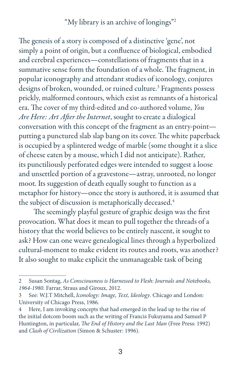## "My library is an archive of longings"2

The genesis of a story is composed of a distinctive 'gene', not simply a point of origin, but a confluence of biological, embodied and cerebral experiences—constellations of fragments that in a summative sense form the foundation of a whole. The fragment, in popular iconography and attendant studies of iconology, conjures designs of broken, wounded, or ruined culture.<sup>3</sup> Fragments possess prickly, malformed contours, which exist as remnants of a historical era. The cover of my third-edited and co-authored volume, *You Are Here: Art After the Internet*, sought to create a dialogical conversation with this concept of the fragment as an entry-point putting a punctured slab slap bang on its cover. The white paperback is occupied by a splintered wedge of marble (some thought it a slice of cheese eaten by a mouse, which I did not anticipate). Rather, its punctiliously perforated edges were intended to suggest a loose and unsettled portion of a gravestone—astray, unrooted, no longer moot. Its suggestion of death equally sought to function as a metaphor for history—once the story is authored, it is assumed that the subject of discussion is metaphorically deceased.<sup>4</sup>

The seemingly playful gesture of graphic design was the first provocation. What does it mean to pull together the threads of a history that the world believes to be entirely nascent, it sought to ask? How can one weave genealogical lines through a hyperbolized cultural-moment to make evident its routes and roots, was another? It also sought to make explicit the unmanageable task of being

<sup>2</sup> Susan Sontag, *As Consciousness is Harnessed to Flesh: Journals and Notebooks, 1964-1980*. Farrar, Straus and Giroux, 2012.

<sup>3</sup> See: W.J.T Mitchell, *Iconology: Image, Text, Ideology*. Chicago and London: University of Chicago Press, 1986.

<sup>4</sup> Here, I am invoking concepts that had emerged in the lead up to the rise of the initial dotcom boom such as the writing of Francis Fukuyama and Samuel P Huntington, in particular, *The End of History and the Last Man* (Free Press: 1992) and *Clash of Civilization* (Simon & Schuster: 1996).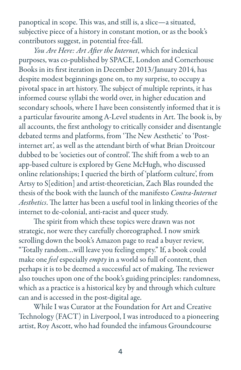panoptical in scope. This was, and still is, a slice—a situated, subjective piece of a history in constant motion, or as the book's contributors suggest, in potential free-fall.

*You Are Here: Art After the Internet*, which for indexical purposes, was co-published by SPACE, London and Cornerhouse Books in its first iteration in December 2013/January 2014, has despite modest beginnings gone on, to my surprise, to occupy a pivotal space in art history. The subject of multiple reprints, it has informed course syllabi the world over, in higher education and secondary schools, where I have been consistently informed that it is a particular favourite among A-Level students in Art. The book is, by all accounts, the first anthology to critically consider and disentangle debated terms and platforms, from 'The New Aesthetic' to 'Postinternet art', as well as the attendant birth of what Brian Droitcour dubbed to be 'societies out of control'. The shift from a web to an app-based culture is explored by Gene McHugh, who discussed online relationships; I queried the birth of 'platform culture', from Artsy to S[edition] and artist-theoretician, Zach Blas rounded the thesis of the book with the launch of the manifesto *Contra-Internet Aesthetics*. The latter has been a useful tool in linking theories of the internet to de-colonial, anti-racist and queer study.

The spirit from which these topics were drawn was not strategic, nor were they carefully choreographed. I now smirk scrolling down the book's Amazon page to read a buyer review, "Totally random…will leave you feeling empty." If, a book could make one *feel* especially *empty* in a world so full of content, then perhaps it is to be deemed a successful act of making. The reviewer also touches upon one of the book's guiding principles: randomness, which as a practice is a historical key by and through which culture can and is accessed in the post-digital age.

While I was Curator at the Foundation for Art and Creative Technology (FACT) in Liverpool, I was introduced to a pioneering artist, Roy Ascott, who had founded the infamous Groundcourse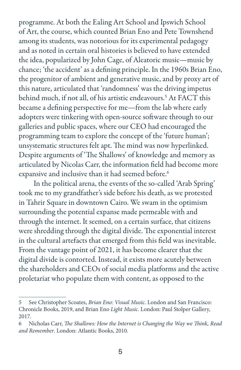programme. At both the Ealing Art School and Ipswich School of Art, the course, which counted Brian Eno and Pete Townshend among its students, was notorious for its experimental pedagogy and as noted in certain oral histories is believed to have extended the idea, popularized by John Cage, of Aleatoric music—music by chance; 'the accident' as a defining principle. In the 1960s Brian Eno, the progenitor of ambient and generative music, and by proxy art of this nature, articulated that 'randomness' was the driving impetus behind much, if not all, of his artistic endeavours.5 At FACT this became a defining perspective for me—from the lab where early adopters were tinkering with open-source software through to our galleries and public spaces, where our CEO had encouraged the programming team to explore the concept of the 'future human'; unsystematic structures felt apt. The mind was now hyperlinked. Despite arguments of 'The Shallows' of knowledge and memory as articulated by Nicolas Carr, the information field had become more expansive and inclusive than it had seemed before.<sup>6</sup>

In the political arena, the events of the so-called 'Arab Spring' took me to my grandfather's side before his death, as we protested in Tahrir Square in downtown Cairo. We swam in the optimism surrounding the potential expanse made permeable with and through the internet. It seemed, on a certain surface, that citizens were shredding through the digital divide. The exponential interest in the cultural artefacts that emerged from this field was inevitable. From the vantage point of 2021, it has become clearer that the digital divide is contorted. Instead, it exists more acutely between the shareholders and CEOs of social media platforms and the active proletariat who populate them with content, as opposed to the

<sup>5</sup> See Christopher Scoates, *Brian Eno: Visual Music*. London and San Francisco: Chronicle Books, 2019, and Brian Eno *Light Music*. London: Paul Stolper Gallery, 2017.

<sup>6</sup> Nicholas Carr, *The Shallows: How the Internet is Changing the Way we Think, Read and Remember*. London: Atlantic Books, 2010.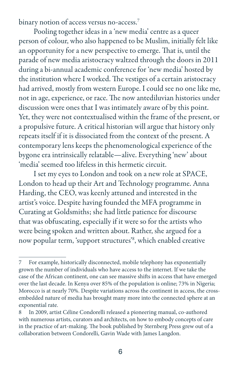binary notion of access versus no-access.<sup>7</sup>

Pooling together ideas in a 'new media' centre as a queer person of colour, who also happened to be Muslim, initially felt like an opportunity for a new perspective to emerge. That is, until the parade of new media aristocracy waltzed through the doors in 2011 during a bi-annual academic conference for 'new media' hosted by the institution where I worked. The vestiges of a certain aristocracy had arrived, mostly from western Europe. I could see no one like me, not in age, experience, or race. The now antediluvian histories under discussion were ones that I was intimately aware of by this point. Yet, they were not contextualised within the frame of the present, or a propulsive future. A critical historian will argue that history only repeats itself if it is dissociated from the context of the present. A contemporary lens keeps the phenomenological experience of the bygone era intrinsically relatable—alive. Everything 'new' about 'media' seemed too lifeless in this hermetic circuit.

I set my eyes to London and took on a new role at SPACE, London to head up their Art and Technology programme. Anna Harding, the CEO, was keenly attuned and interested in the artist's voice. Despite having founded the MFA programme in Curating at Goldsmiths; she had little patience for discourse that was obfuscating, especially if it were so for the artists who were being spoken and written about. Rather, she argued for a now popular term, 'support structures'8 , which enabled creative

<sup>7</sup> For example, historically disconnected, mobile telephony has exponentially grown the number of individuals who have access to the internet. If we take the case of the African continent, one can see massive shifts in access that have emerged over the last decade. In Kenya over 85% of the population is online; 73% in Nigeria; Morocco is at nearly 70%. Despite variations across the continent in access, the crossembedded nature of media has brought many more into the connected sphere at an exponential rate.

<sup>8</sup> In 2009, artist Céline Condorelli released a pioneering manual, co-authored with numerous artists, curators and architects, on how to embody concepts of care in the practice of art-making. The book published by Sternberg Press grew out of a collaboration between Condorelli, Gavin Wade with James Langdon.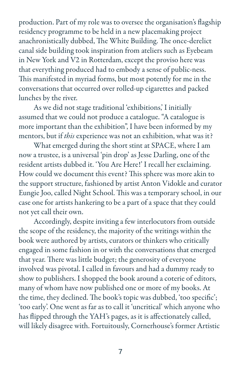production. Part of my role was to oversee the organisation's flagship residency programme to be held in a new placemaking project anachronistically dubbed, The White Building. The once-derelict canal side building took inspiration from ateliers such as Eyebeam in New York and V2 in Rotterdam, except the proviso here was that everything produced had to embody a sense of public-ness. This manifested in myriad forms, but most potently for me in the conversations that occurred over rolled-up cigarettes and packed lunches by the river.

As we did not stage traditional 'exhibitions,' I initially assumed that we could not produce a catalogue. "A catalogue is more important than the exhibition", I have been informed by my mentors, but if *this* experience was not an exhibition, what was it?

What emerged during the short stint at SPACE, where I am now a trustee, is a universal 'pin drop' as Jesse Darling, one of the resident artists dubbed it. 'You Are Here!' I recall her exclaiming. How could we document this event? This sphere was more akin to the support structure, fashioned by artist Anton Vidokle and curator Eungie Joo, called Night School. This was a temporary school, in our case one for artists hankering to be a part of a space that they could not yet call their own.

Accordingly, despite inviting a few interlocutors from outside the scope of the residency, the majority of the writings within the book were authored by artists, curators or thinkers who critically engaged in some fashion in or with the conversations that emerged that year. There was little budget; the generosity of everyone involved was pivotal. I called in favours and had a dummy ready to show to publishers. I shopped the book around a coterie of editors, many of whom have now published one or more of my books. At the time, they declined. The book's topic was dubbed, 'too specific'; 'too early'. One went as far as to call it 'uncritical' which anyone who has flipped through the YAH's pages, as it is affectionately called, will likely disagree with. Fortuitously, Cornerhouse's former Artistic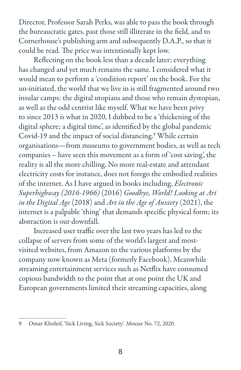Director, Professor Sarah Perks, was able to pass the book through the bureaucratic gates, past those still illiterate in the field, and to Cornerhouse's publishing arm and subsequently D.A.P., so that it could be read. The price was intentionally kept low.

Reflecting on the book less than a decade later; everything has changed and yet much remains the same. I considered what it would mean to perform a 'condition report' on the book. For the un-initiated, the world that we live in is still fragmented around two insular camps: the digital utopians and those who remain dystopian, as well as the odd centrist like myself. What we have been privy to since 2013 is what in 2020, I dubbed to be a 'thickening of the digital sphere; a digital time', as identified by the global pandemic Covid-19 and the impact of social distancing.<sup>9</sup> While certain organisations—from museums to government bodies, as well as tech companies – have seen this movement as a form of 'cost saving', the reality is all the more chilling. No more real-estate and attendant electricity costs for instance, does not forego the embodied realities of the internet. As I have argued in books including, *Electronic Superhighway (2016-1966)* (2016) *Goodbye, World! Looking at Art in the Digital Age* (2018) and *Art in the Age of Anxiety* (2021), the internet is a palpable 'thing' that demands specific physical form; its abstraction is our downfall.

Increased user traffic over the last two years has led to the collapse of servers from some of the world's largest and mostvisited websites, from Amazon to the various platforms by the company now known as Meta (formerly Facebook). Meanwhile streaming entertainment services such as Netflix have consumed copious bandwidth to the point that at one point the UK and European governments limited their streaming capacities, along

<sup>9</sup> Omar Kholeif, 'Sick Living, Sick Society'. *Mousse* No. 72, 2020.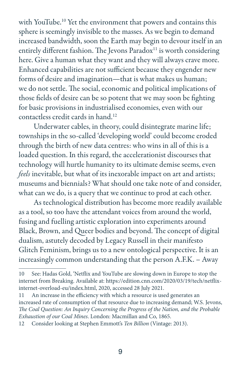with YouTube.<sup>10</sup> Yet the environment that powers and contains this sphere is seemingly invisible to the masses. As we begin to demand increased bandwidth, soon the Earth may begin to devour itself in an entirely different fashion. The Jevons Paradox<sup>11</sup> is worth considering here. Give a human what they want and they will always crave more. Enhanced capabilities are not sufficient because they engender new forms of desire and imagination—that is what makes us human; we do not settle. The social, economic and political implications of those fields of desire can be so potent that we may soon be fighting for basic provisions in industrialised economies, even with our contactless credit cards in hand.12

Underwater cables, in theory, could disintegrate marine life; townships in the so-called 'developing world' could become eroded through the birth of new data centres: who wins in all of this is a loaded question. In this regard, the accelerationist discourses that technology will hurtle humanity to its ultimate demise seems, even *feels* inevitable, but what of its inexorable impact on art and artists; museums and biennials? What should one take note of and consider, what can we do, is a query that we continue to prod at each other.

As technological distribution has become more readily available as a tool, so too have the attendant voices from around the world, fusing and fuelling artistic exploration into experiments around Black, Brown, and Queer bodies and beyond. The concept of digital dualism, astutely decoded by Legacy Russell in their manifesto Glitch Feminism, brings us to a new ontological perspective. It is an increasingly common understanding that the person A.F.K. – Away

<sup>10</sup> See: Hadas Gold, 'Netflix and YouTube are slowing down in Europe to stop the internet from Breaking. Available at: https://edition.cnn.com/2020/03/19/tech/netflixinternet-overload-eu/index.html, 2020, accessed 28 July 2021.

<sup>11</sup> An increase in the efficiency with which a resource is used generates an increased rate of consumption of that resource due to increasing demand; W.S. Jevons, *The Coal Question: An Inquiry Concerning the Progress of the Nation, and the Probable Exhaustion of our Coal Mines*. London: Macmillan and Co, 1865.

<sup>12</sup> Consider looking at Stephen Emmott's *Ten Billion* (Vintage: 2013).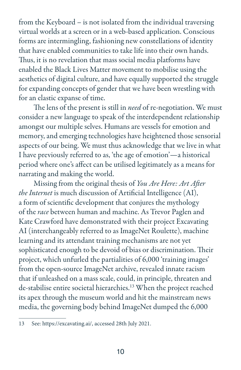from the Keyboard – is not isolated from the individual traversing virtual worlds at a screen or in a web-based application. Conscious forms are intermingling, fashioning new constellations of identity that have enabled communities to take life into their own hands. Thus, it is no revelation that mass social media platforms have enabled the Black Lives Matter movement to mobilise using the aesthetics of digital culture, and have equally supported the struggle for expanding concepts of gender that we have been wrestling with for an elastic expanse of time.

The lens of the present is still in *need* of re-negotiation. We must consider a new language to speak of the interdependent relationship amongst our multiple selves. Humans are vessels for emotion and memory, and emerging technologies have heightened those sensorial aspects of our being. We must thus acknowledge that we live in what I have previously referred to as, 'the age of emotion'—a historical period where one's affect can be utilised legitimately as a means for narrating and making the world.

Missing from the original thesis of *You Are Here: Art After the Internet* is much discussion of Artificial Intelligence (AI), a form of scientific development that conjures the mythology of the *race* between human and machine. As Trevor Paglen and Kate Crawford have demonstrated with their project Excavating AI (interchangeably referred to as ImageNet Roulette), machine learning and its attendant training mechanisms are not yet sophisticated enough to be devoid of bias or discrimination. Their project, which unfurled the partialities of 6,000 'training images' from the open-source ImageNet archive, revealed innate racism that if unleashed on a mass scale, could, in principle, threaten and de-stabilise entire societal hierarchies.<sup>13</sup> When the project reached its apex through the museum world and hit the mainstream news media, the governing body behind ImageNet dumped the 6,000

<sup>13</sup> See: https://excavating.ai/, accessed 28th July 2021.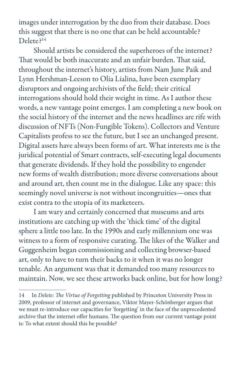images under interrogation by the duo from their database. Does this suggest that there is no one that can be held accountable? Delete?14

Should artists be considered the superheroes of the internet? That would be both inaccurate and an unfair burden. That said, throughout the internet's history, artists from Nam June Paik and Lynn Hershman-Leeson to Olia Lialina, have been exemplary disruptors and ongoing archivists of the field; their critical interrogations should hold their weight in time. As I author these words, a new vantage point emerges. I am completing a new book on the social history of the internet and the news headlines are rife with discussion of NFTs (Non-Fungible Tokens). Collectors and Venture Capitalists profess to see the future, but I see an unchanged present. Digital assets have always been forms of art. What interests me is the juridical potential of Smart contracts, self-executing legal documents that generate dividends. If they hold the possibility to engender new forms of wealth distribution; more diverse conversations about and around art, then count me in the dialogue. Like any space: this seemingly novel universe is not without incongruities—ones that exist contra to the utopia of its marketeers.

I am wary and certainly concerned that museums and arts institutions are catching up with the 'thick time' of the digital sphere a little too late. In the 1990s and early millennium one was witness to a form of responsive curating. The likes of the Walker and Guggenheim began commissioning and collecting browser-based art, only to have to turn their backs to it when it was no longer tenable. An argument was that it demanded too many resources to maintain. Now, we see these artworks back online, but for how long?

<sup>14</sup> In *Delete: The Virtue of Forgetting* published by Princeton University Press in 2009, professor of internet and governance, Viktor Mayer-Schönberger argues that we must re-introduce our capacities for 'forgetting' in the face of the unprecedented archive that the internet offer humans. The question from our current vantage point is: To what extent should this be possible?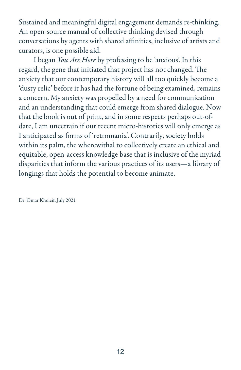Sustained and meaningful digital engagement demands re-thinking. An open-source manual of collective thinking devised through conversations by agents with shared affinities, inclusive of artists and curators, is one possible aid.

I began *You Are Here* by professing to be 'anxious'. In this regard, the gene that initiated that project has not changed. The anxiety that our contemporary history will all too quickly become a 'dusty relic' before it has had the fortune of being examined, remains a concern. My anxiety was propelled by a need for communication and an understanding that could emerge from shared dialogue. Now that the book is out of print, and in some respects perhaps out-ofdate, I am uncertain if our recent micro-histories will only emerge as I anticipated as forms of 'retromania'. Contrarily, society holds within its palm, the wherewithal to collectively create an ethical and equitable, open-access knowledge base that is inclusive of the myriad disparities that inform the various practices of its users—a library of longings that holds the potential to become animate.

Dr. Omar Kholeif, July 2021